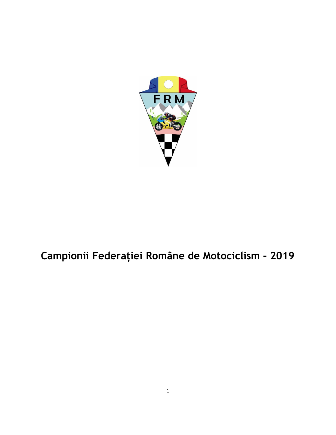

# Campionii Federației Române de Motociclism – 2019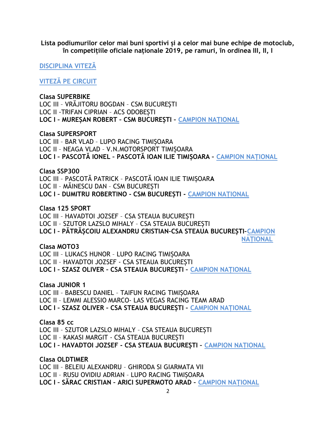Lista podiumurilor celor mai buni sportivi și a celor mai bune echipe de motoclub, în competitiile oficiale naționale 2019, pe ramuri, în ordinea III, II, I

**DISCIPLINA VITEZĂ** 

**VITEZĂ PE CIRCUIT** 

### **Clasa SUPERBIKE**

LOC III - VRĂJITORU BOGDAN - CSM BUCUREȘTI LOC II - TRIFAN CIPRIAN - ACS ODOBESTI LOC I - MUREȘAN ROBERT - CSM BUCUREȘTI - CAMPION NAȚIONAL

### **Clasa SUPERSPORT**

LOC III - BAR VLAD - LUPO RACING TIMIȘOARA LOC II - NEAGA VLAD - V.N.MOTORSPORT TIMISOARA LOC I - PASCOTĂ IONEL - PASCOTĂ IOAN ILIE TIMIȘOARA - CAMPION NAȚIONAL

### Clasa SSP300

LOC III - PASCOTĂ PATRICK - PASCOTĂ IOAN ILIE TIMIȘOARA LOC II - MĂINESCU DAN - CSM BUCURESTI LOC I - DUMITRU ROBERTINO - CSM BUCURESTI - CAMPION NATIONAL

Clasa 125 SPORT LOC III - HAVADTOI JOZSEF - CSA STEAUA BUCURESTI LOC II - SZUTOR LAZSLO MIHALY - CSA STEAUA BUCURESTI LOC I - PĂTRĂȘCOIU ALEXANDRU CRISTIAN-CSA STEAUA BUCUREȘTI-CAMPION **NATIONAL** 

Clasa MOTO3 LOC III - LUKACS HUNOR - LUPO RACING TIMISOARA LOC II - HAVADTOI JOZSEF - CSA STEAUA BUCUREȘTI

LOC I - SZASZ OLIVER - CSA STEAUA BUCUREȘTI - CAMPION NAȚIONAL

Clasa JUNIOR 1 LOC III - BABESCU DANIEL - TAIFUN RACING TIMIȘOARA LOC II - LEMMI ALESSIO MARCO- LAS VEGAS RACING TEAM ARAD LOC I - SZASZ OLIVER - CSA STEAUA BUCUREȘTI - CAMPION NAȚIONAL

Clasa 85 cc LOC III - SZUTOR LAZSLO MIHALY - CSA STEAUA BUCURESTI LOC II - KAKASI MARGIT - CSA STEAUA BUCURESTI LOC I - HAVADTOI JOZSEF - CSA STEAUA BUCUREȘTI - CAMPION NAȚIONAL

**Clasa OLDTIMER** LOC III - BELEIU ALEXANDRU - GHIRODA SI GIARMATA VII LOC II - RUSU OVIDIU ADRIAN - LUPO RACING TIMISOARA LOC I - SĂRAC CRISTIAN - ARICI SUPERMOTO ARAD - CAMPION NATIONAL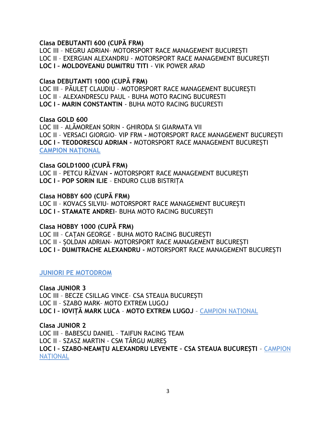### Clasa DEBUTANTI 600 (CUPĂ FRM)

LOC III – NEGRU ADRIAN– MOTORSPORT RACE MANAGEMENT BUCUREȘTI LOC II – EXERGIAN ALEXANDRU - MOTORSPORT RACE MANAGEMENT BUCUREȘTI LOC I – MOLDOVEANU DUMITRU TITI - VIK POWER ARAD

### Clasa DEBUTANTI 1000 (CUPĂ FRM)

LOC III – PĂULEȚ CLAUDIU – MOTORSPORT RACE MANAGEMENT BUCUREȘTI LOC II – ALEXANDRESCU PAUL - BUHA MOTO RACING BUCURESTI LOC I – MARIN CONSTANTIN - BUHA MOTO RACING BUCURESTI

### Clasa GOLD 600

LOC III – ALĂMOREAN SORIN - GHIRODA SI GIARMATA VII LOC II – VERSACI GIORGIO– VIP FRM - MOTORSPORT RACE MANAGEMENT BUCUREȘTI LOC I – TEODORESCU ADRIAN - MOTORSPORT RACE MANAGEMENT BUCUREȘTI CAMPION NAȚIONAL

Clasa GOLD1000 (CUPĂ FRM) LOC II – PETCU RĂZVAN - MOTORSPORT RACE MANAGEMENT BUCUREȘTI LOC I – POP SORIN ILIE – ENDURO CLUB BISTRIȚA

Clasa HOBBY 600 (CUPĂ FRM)

LOC II – KOVACS SILVIU- MOTORSPORT RACE MANAGEMENT BUCUREȘTI LOC I – STAMATE ANDREI- BUHA MOTO RACING BUCUREȘTI

Clasa HOBBY 1000 (CUPĂ FRM)

LOC III – CAȚAN GEORGE - BUHA MOTO RACING BUCUREȘTI LOC II - ȘOLDAN ADRIAN- MOTORSPORT RACE MANAGEMENT BUCUREȘTI LOC I – DUMITRACHE ALEXANDRU - MOTORSPORT RACE MANAGEMENT BUCUREȘTI

JUNIORI PE MOTODROM

Clasa JUNIOR 3 LOC III – BECZE CSILLAG VINCE– CSA STEAUA BUCUREȘTI LOC II – SZABO MARK– MOTO EXTREM LUGOJ LOC I – IOVIȚĂ MARK LUCA – MOTO EXTREM LUGOJ – CAMPION NAȚIONAL

Clasa JUNIOR 2 LOC III – BABESCU DANIEL – TAIFUN RACING TEAM LOC II – SZASZ MARTIN - CSM TÂRGU MUREȘ LOC I – SZABO-NEAMȚU ALEXANDRU LEVENTE – CSA STEAUA BUCUREȘTI – CAMPION **NATIONAL**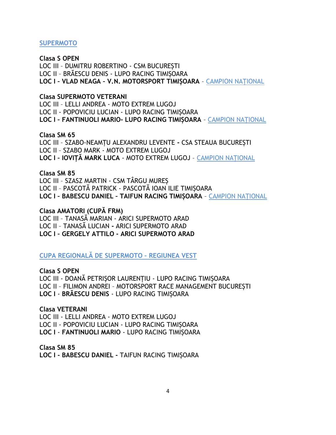### **SUPERMOTO**

### **Clasa S OPEN**

LOC III - DUMITRU ROBERTINO - CSM BUCURESTI LOC II - BRĂESCU DENIS - LUPO RACING TIMISOARA LOC I - VLAD NEAGA - V.N. MOTORSPORT TIMIȘOARA - CAMPION NAȚIONAL

### **Clasa SUPERMOTO VETERANI**

LOC III - LELLI ANDREA - MOTO EXTREM LUGOJ LOC II - POPOVICIU LUCIAN - LUPO RACING TIMISOARA LOC I - FANTINUOLI MARIO- LUPO RACING TIMIȘOARA - CAMPION NATIONAL

### Clasa SM 65

LOC III - SZABO-NEAMTU ALEXANDRU LEVENTE - CSA STEAUA BUCUREȘTI LOC II - SZABO MARK - MOTO EXTREM LUGOJ LOC I - IOVITĂ MARK LUCA - MOTO EXTREM LUGOJ - CAMPION NATIONAL

### Clasa SM 85

LOC III - SZASZ MARTIN - CSM TÂRGU MUREȘ LOC II - PASCOTĂ PATRICK - PASCOTĂ IOAN ILIE TIMISOARA LOC I - BABESCU DANIEL - TAIFUN RACING TIMIȘOARA - CAMPION NAȚIONAL

### Clasa AMATORI (CUPĂ FRM)

LOC III - TANASĂ MARIAN - ARICI SUPERMOTO ARAD LOC II - TANASĂ LUCIAN - ARICI SUPERMOTO ARAD LOC I - GERGELY ATTILO - ARICI SUPERMOTO ARAD

**CUPA REGIONALĂ DE SUPERMOTO - REGIUNEA VEST** 

### **Clasa S OPEN**

LOC III - DOANĂ PETRISOR LAURENTIU - LUPO RACING TIMISOARA LOC II - FILIMON ANDREI - MOTORSPORT RACE MANAGEMENT BUCUREȘTI LOC I - BRĂESCU DENIS - LUPO RACING TIMIȘOARA

**Clasa VETERANI** LOC III - LELLI ANDREA - MOTO EXTREM LUGOJ LOC II - POPOVICIU LUCIAN - LUPO RACING TIMIȘOARA LOC I - FANTINUOLI MARIO - LUPO RACING TIMIȘOARA

Clasa SM 85 LOC I - BABESCU DANIEL - TAIFUN RACING TIMIȘOARA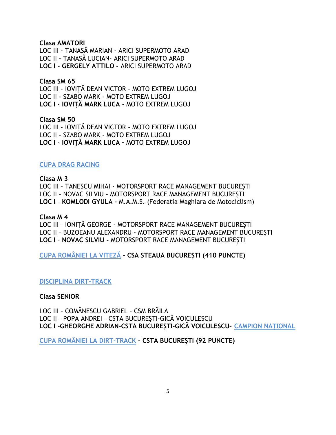### Clasa AMATORI

LOC III - TANASĂ MARIAN - ARICI SUPERMOTO ARAD LOC II - TANASĂ LUCIAN- ARICI SUPERMOTO ARAD LOC I - GERGELY ATTILO - ARICI SUPERMOTO ARAD

### Clasa SM 65

LOC III - IOVIȚĂ DEAN VICTOR - MOTO EXTREM LUGOJ LOC II - SZABO MARK - MOTO EXTREM LUGOJ LOC I - IOVIȚĂ MARK LUCA - MOTO EXTREM LUGOJ

### Clasa SM 50

LOC III - IOVIȚĂ DEAN VICTOR - MOTO EXTREM LUGOJ LOC II - SZABO MARK - MOTO EXTREM LUGOJ LOC I - IOVIȚĂ MARK LUCA - MOTO EXTREM LUGOJ

### CUPA DRAG RACING

# Clasa M 3 LOC III – TANESCU MIHAI - MOTORSPORT RACE MANAGEMENT BUCUREȘTI

LOC II – NOVAC SILVIU - MOTORSPORT RACE MANAGEMENT BUCUREȘTI LOC I – KOMLODI GYULA – M.A.M.S. (Federatia Maghiara de Motociclism)

### Clasa M 4

LOC III – IONIȚĂ GEORGE - MOTORSPORT RACE MANAGEMENT BUCUREȘTI LOC II – BUZOEANU ALEXANDRU - MOTORSPORT RACE MANAGEMENT BUCUREȘTI LOC I – NOVAC SILVIU - MOTORSPORT RACE MANAGEMENT BUCUREȘTI

CUPA ROMÂNIEI LA VITEZĂ – CSA STEAUA BUCUREȘTI (410 PUNCTE)

### DISCIPLINA DIRT-TRACK

### Clasa SENIOR

LOC III – COMĂNESCU GABRIEL – CSM BRĂILA LOC II – POPA ANDREI – CSTA BUCUREȘTI-GICĂ VOICULESCU LOC I –GHEORGHE ADRIAN–CSTA BUCUREȘTI-GICĂ VOICULESCU– CAMPION NAȚIONAL

CUPA ROMÂNIEI LA DIRT-TRACK – CSTA BUCUREȘTI (92 PUNCTE)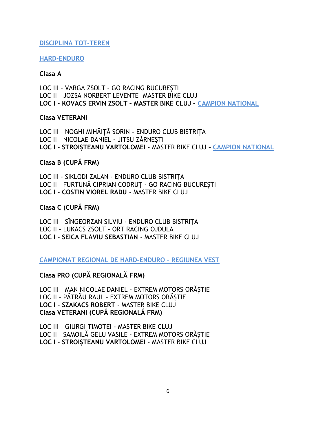### **DISCIPLINA TOT-TEREN**

### **HARD-ENDURO**

### Clasa A

LOC III - VARGA ZSOLT - GO RACING BUCURESTI LOC II - JOZSA NORBERT LEVENTE- MASTER BIKE CLUJ LOC I - KOVACS ERVIN ZSOLT - MASTER BIKE CLUJ - CAMPION NATIONAL

### **Clasa VETERANI**

LOC III - NOGHI MIHĂITĂ SORIN - ENDURO CLUB BISTRITA LOC II - NICOLAE DANIEL - JITSU ZĂRNESTI LOC I - STROISTEANU VARTOLOMEI - MASTER BIKE CLUJ - CAMPION NATIONAL

### Clasa B (CUPĂ FRM)

LOC III - SIKLODI ZALAN - ENDURO CLUB BISTRITA LOC II - FURTUNĂ CIPRIAN CODRUT - GO RACING BUCURESTI LOC I - COSTIN VIOREL RADU - MASTER BIKE CLUJ

### Clasa C (CUPĂ FRM)

LOC III - SÎNGEORZAN SILVIU - ENDURO CLUB BISTRITA LOC II - LUKACS ZSOLT - ORT RACING OJDULA LOC I - SEICA FLAVIU SEBASTIAN - MASTER BIKE CLUJ

CAMPIONAT REGIONAL DE HARD-ENDURO - REGIUNEA VEST

Clasa PRO (CUPĂ REGIONALĂ FRM)

LOC III - MAN NICOLAE DANIEL - EXTREM MOTORS ORĂȘTIE LOC II - PĂTRĂU RAUL - EXTREM MOTORS ORĂSTIE LOC I - SZAKACS ROBERT - MASTER BIKE CLUJ Clasa VETERANI (CUPĂ REGIONALĂ FRM)

LOC III - GIURGI TIMOTEI - MASTER BIKE CLUJ LOC II - SAMOILĂ GELU VASILE - EXTREM MOTORS ORĂȘTIE LOC I - STROISTEANU VARTOLOMEI - MASTER BIKE CLUJ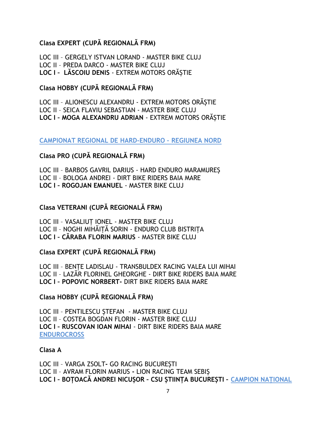# Clasa EXPERT (CUPĂ REGIONALĂ FRM)

LOC III - GERGELY ISTVAN LORAND - MASTER BIKE CLUJ LOC II - PREDA DARCO - MASTER BIKE CLUJ LOC I - LĂSCOIU DENIS - EXTREM MOTORS ORĂSTIE

# Clasa HOBBY (CUPĂ REGIONALĂ FRM)

LOC III - ALIONESCU ALEXANDRU - EXTREM MOTORS ORĂSTIE LOC II - SEICA FLAVIU SEBASTIAN - MASTER BIKE CLUJ LOC I - MOGA ALEXANDRU ADRIAN - EXTREM MOTORS ORĂSTIE

CAMPIONAT REGIONAL DE HARD-ENDURO - REGIUNEA NORD

# Clasa PRO (CUPĂ REGIONALĂ FRM)

LOC III - BARBOS GAVRIL DARIUS - HARD ENDURO MARAMUREȘ LOC II - BOLOGA ANDREI - DIRT BIKE RIDERS BAIA MARE LOC I - ROGOJAN EMANUEL - MASTER BIKE CLUJ

# Clasa VETERANI (CUPĂ REGIONALĂ FRM)

LOC III - VASALIUT IONEL - MASTER BIKE CLUJ LOC II - NOGHI MIHĂIȚĂ SORIN - ENDURO CLUB BISTRIȚA LOC I - CĂRABA FLORIN MARIUS - MASTER BIKE CLUJ

Clasa EXPERT (CUPĂ REGIONALĂ FRM)

LOC III - BENTE LADISLAU - TRANSBULDEX RACING VALEA LUI MIHAI LOC II - LAZĂR FLORINEL GHEORGHE - DIRT BIKE RIDERS BAIA MARE LOC I - POPOVIC NORBERT- DIRT BIKE RIDERS BAIA MARE

# Clasa HOBBY (CUPĂ REGIONALĂ FRM)

LOC III - PENTILESCU STEFAN - MASTER BIKE CLUJ LOC II - COSTEA BOGDAN FLORIN - MASTER BIKE CLUJ LOC I - RUSCOVAN IOAN MIHAI - DIRT BIKE RIDERS BAIA MARE **ENDUROCROSS** 

### Clasa A

LOC III - VARGA ZSOLT- GO RACING BUCURESTI LOC II - AVRAM FLORIN MARIUS - LION RACING TEAM SEBIS LOC I - BOȚOACĂ ANDREI NICUȘOR - CSU ȘTIINȚA BUCUREȘTI - CAMPION NAȚIONAL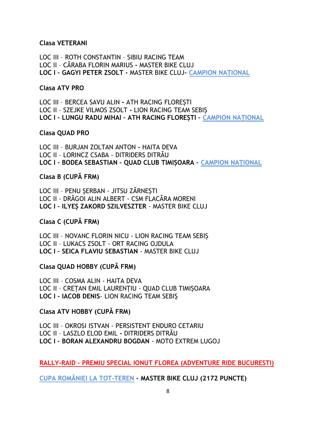### **Clasa VETERANI**

LOC III - ROTH CONSTANTIN - SIBIU RACING TEAM LOC II - CĂRABA FLORIN MARIUS - MASTER BIKE CLUJ LOC I - GAGYI PETER ZSOLT - MASTER BIKE CLUJ- CAMPION NATIONAL

### **Clasa ATV PRO**

LOC III - BERCEA SAVU ALIN - ATH RACING FLORESTI LOC II - SZEJKE VILMOS ZSOLT - LION RACING TEAM SEBIS LOC I - LUNGU RADU MIHAI - ATH RACING FLOREȘTI - CAMPION NAȚIONAL

### **Clasa QUAD PRO**

LOC III - BURJAN ZOLTAN ANTON - HAITA DEVA LOC II - LORINCZ CSABA - DITRIDERS DITRĂU LOC I - BODEA SEBASTIAN - QUAD CLUB TIMIȘOARA - CAMPION NAȚIONAL

### Clasa B (CUPĂ FRM)

LOC III - PENU SERBAN - JITSU ZĂRNESTI LOC II - DRĂGOI ALIN ALBERT - CSM FLACĂRA MORENI LOC I - ILYES ZAKORD SZILVESZTER - MASTER BIKE CLUJ

### Clasa C (CUPĂ FRM)

LOC III - NOVANC FLORIN NICU - LION RACING TEAM SEBIS LOC II - LUKACS ZSOLT - ORT RACING OJDULA LOC I - SEICA FLAVIU SEBASTIAN - MASTER BIKE CLUJ

### Clasa QUAD HOBBY (CUPĂ FRM)

LOC III - COSMA ALIN - HAITA DEVA LOC II - CRETAN EMIL LAURENTIU - QUAD CLUB TIMISOARA LOC I - IACOB DENIS- LION RACING TEAM SEBIS

## Clasa ATV HOBBY (CUPĂ FRM)

LOC III - OKROSI ISTVAN - PERSISTENT ENDURO CETARIU LOC II - LASZLO ELOD EMIL - DITRIDERS DITRĂU LOC I - BORAN ALEXANDRU BOGDAN - MOTO EXTREM LUGOJ

RALLY-RAID - PREMIU SPECIAL IONUT FLOREA (ADVENTURE RIDE BUCURESTI)

CUPA ROMÂNIEI LA TOT-TEREN - MASTER BIKE CLUJ (2172 PUNCTE)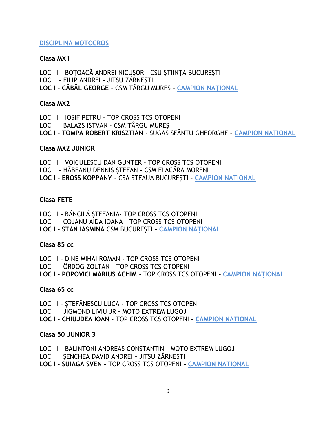### **DISCIPLINA MOTOCROS**

### Clasa MX1

LOC III - BOTOACĂ ANDREI NICUSOR - CSU STIINTA BUCURESTI LOC II - FILIP ANDREI - JITSU ZĂRNEȘTI LOC I - CĂBĂL GEORGE - CSM TÂRGU MURES - CAMPION NATIONAL

### Clasa MX2

LOC III - IOSIF PETRU - TOP CROSS TCS OTOPENI LOC II - BALAZS ISTVAN - CSM TÂRGU MURES LOC I - TOMPA ROBERT KRISZTIAN - SUGAS SFÂNTU GHEORGHE - CAMPION NATIONAL

### Clasa MX2 JUNIOR

LOC III - VOICULESCU DAN GUNTER - TOP CROSS TCS OTOPENI LOC II - HĂBEANU DENNIS ȘTEFAN - CSM FLACĂRA MORENI LOC I - EROSS KOPPANY - CSA STEAUA BUCUREȘTI - CAMPION NATIONAL

### **Clasa FETE**

LOC III - BĂNCILĂ STEFANIA- TOP CROSS TCS OTOPENI LOC II - COJANU AIDA IOANA - TOP CROSS TCS OTOPENI LOC I - STAN IASMINA CSM BUCUREȘTI - CAMPION NAȚIONAL

### Clasa 85 cc

LOC III - DINE MIHAI ROMAN - TOP CROSS TCS OTOPENI LOC II - ÖRDOG ZOLTAN - TOP CROSS TCS OTOPENI LOC I - POPOVICI MARIUS ACHIM - TOP CROSS TCS OTOPENI - CAMPION NATIONAL

### Clasa 65 cc

LOC III - STEFĂNESCU LUCA - TOP CROSS TCS OTOPENI LOC II - JIGMOND LIVIU JR - MOTO EXTREM LUGOJ LOC I - CHIUJDEA IOAN - TOP CROSS TCS OTOPENI - CAMPION NATIONAL

### Clasa 50 JUNIOR 3

LOC III - BALINTONI ANDREAS CONSTANTIN - MOTO EXTREM LUGOJ LOC II - SENCHEA DAVID ANDREI - JITSU ZĂRNESTI LOC I - SUIAGA SVEN - TOP CROSS TCS OTOPENI - CAMPION NATIONAL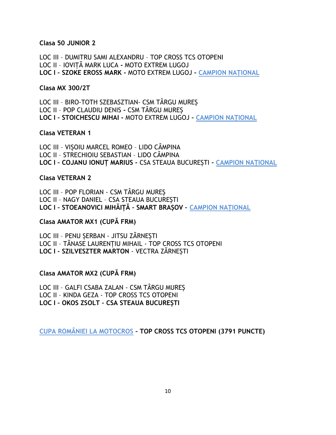### Clasa 50 JUNIOR 2

LOC III - DUMITRU SAMI ALEXANDRU - TOP CROSS TCS OTOPENI LOC II - IOVITĂ MARK LUCA - MOTO EXTREM LUGOJ LOC I - SZOKE EROSS MARK - MOTO EXTREM LUGOJ - CAMPION NATIONAL

### Clasa MX 300/2T

LOC III - BIRO-TOTH SZEBASZTIAN- CSM TÂRGU MURES LOC II - POP CLAUDIU DENIS - CSM TÂRGU MUREȘ LOC I - STOICHESCU MIHAI - MOTO EXTREM LUGOJ - CAMPION NATIONAL

### **Clasa VETERAN 1**

LOC III - VIȘOIU MARCEL ROMEO - LIDO CÂMPINA LOC II - STRECHIOIU SEBASTIAN - LIDO CÂMPINA LOC I - COJANU IONUȚ MARIUS - CSA STEAUA BUCUREȘTI - CAMPION NAȚIONAL

### **Clasa VETERAN 2**

LOC III - POP FLORIAN - CSM TÂRGU MURES LOC II - NAGY DANIEL - CSA STEAUA BUCURESTI LOC I - STOEANOVICI MIHĂIȚĂ - SMART BRAȘOV - CAMPION NAȚIONAL

### Clasa AMATOR MX1 (CUPĂ FRM)

LOC III - PENU SERBAN - JITSU ZĂRNESTI LOC II - TĂNASE LAURENTIU MIHAIL - TOP CROSS TCS OTOPENI LOC I - SZILVESZTER MARTON - VECTRA ZĂRNEȘTI

### Clasa AMATOR MX2 (CUPĂ FRM)

LOC III - GALFI CSABA ZALAN - CSM TÂRGU MUREȘ LOC II - KINDA GEZA - TOP CROSS TCS OTOPENI LOC I - OKOS ZSOLT - CSA STEAUA BUCURESTI

CUPA ROMÂNIEI LA MOTOCROS - TOP CROSS TCS OTOPENI (3791 PUNCTE)